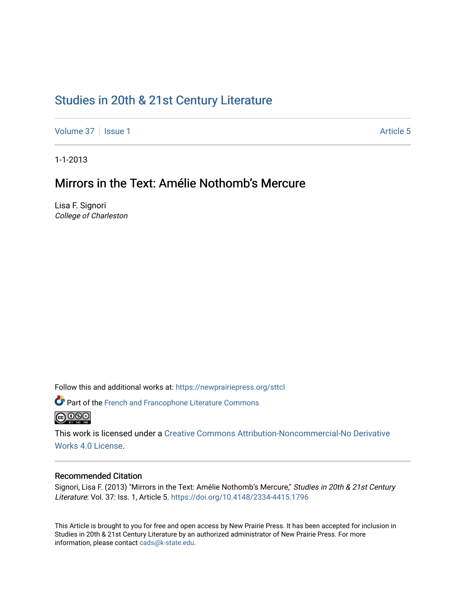# [Studies in 20th & 21st Century Literature](https://newprairiepress.org/sttcl)

[Volume 37](https://newprairiepress.org/sttcl/vol37) | [Issue 1](https://newprairiepress.org/sttcl/vol37/iss1) Article 5

1-1-2013

# Mirrors in the Text: Amélie Nothomb's Mercure

Lisa F. Signori College of Charleston

Follow this and additional works at: [https://newprairiepress.org/sttcl](https://newprairiepress.org/sttcl?utm_source=newprairiepress.org%2Fsttcl%2Fvol37%2Fiss1%2F5&utm_medium=PDF&utm_campaign=PDFCoverPages) 

**P** Part of the French and Francophone Literature Commons **@** 000

This work is licensed under a [Creative Commons Attribution-Noncommercial-No Derivative](https://creativecommons.org/licenses/by-nc-nd/4.0/)  [Works 4.0 License](https://creativecommons.org/licenses/by-nc-nd/4.0/).

## Recommended Citation

Signori, Lisa F. (2013) "Mirrors in the Text: Amélie Nothomb's Mercure," Studies in 20th & 21st Century Literature: Vol. 37: Iss. 1, Article 5. <https://doi.org/10.4148/2334-4415.1796>

This Article is brought to you for free and open access by New Prairie Press. It has been accepted for inclusion in Studies in 20th & 21st Century Literature by an authorized administrator of New Prairie Press. For more information, please contact [cads@k-state.edu](mailto:cads@k-state.edu).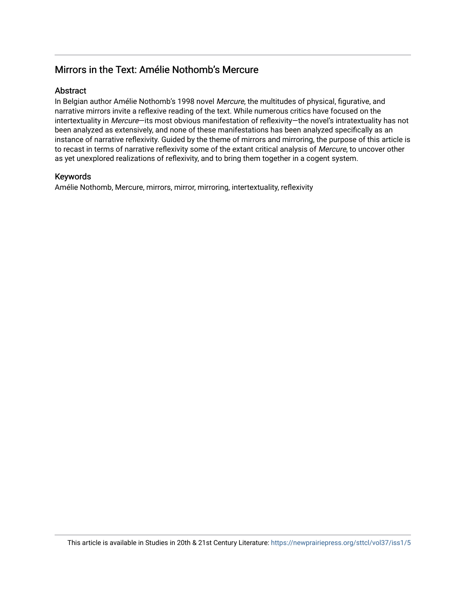## Mirrors in the Text: Amélie Nothomb's Mercure

## **Abstract**

In Belgian author Amélie Nothomb's 1998 novel Mercure, the multitudes of physical, figurative, and narrative mirrors invite a reflexive reading of the text. While numerous critics have focused on the intertextuality in Mercure-its most obvious manifestation of reflexivity-the novel's intratextuality has not been analyzed as extensively, and none of these manifestations has been analyzed specifically as an instance of narrative reflexivity. Guided by the theme of mirrors and mirroring, the purpose of this article is to recast in terms of narrative reflexivity some of the extant critical analysis of Mercure, to uncover other as yet unexplored realizations of reflexivity, and to bring them together in a cogent system.

## Keywords

Amélie Nothomb, Mercure, mirrors, mirror, mirroring, intertextuality, reflexivity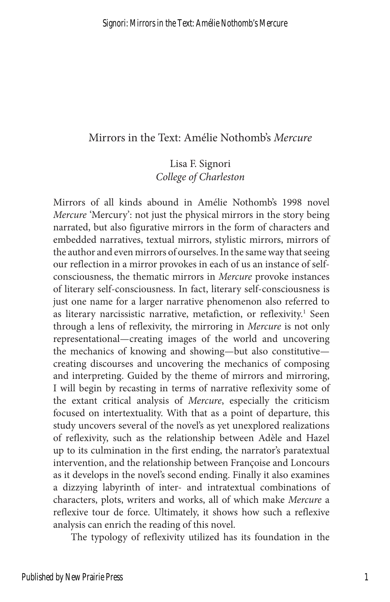## Mirrors in the Text: Amélie Nothomb's *Mercure*

Lisa F. Signori *College of Charleston*

Mirrors of all kinds abound in Amélie Nothomb's 1998 novel *Mercure* 'Mercury': not just the physical mirrors in the story being narrated, but also figurative mirrors in the form of characters and embedded narratives, textual mirrors, stylistic mirrors, mirrors of the author and even mirrors of ourselves. In the same way that seeing our reflection in a mirror provokes in each of us an instance of selfconsciousness, the thematic mirrors in *Mercure* provoke instances of literary self-consciousness. In fact, literary self-consciousness is just one name for a larger narrative phenomenon also referred to as literary narcissistic narrative, metafiction, or reflexivity.<sup>1</sup> Seen through a lens of reflexivity, the mirroring in *Mercure* is not only representational—creating images of the world and uncovering the mechanics of knowing and showing—but also constitutive creating discourses and uncovering the mechanics of composing and interpreting. Guided by the theme of mirrors and mirroring, I will begin by recasting in terms of narrative reflexivity some of the extant critical analysis of *Mercure*, especially the criticism focused on intertextuality. With that as a point of departure, this study uncovers several of the novel's as yet unexplored realizations of reflexivity, such as the relationship between Adèle and Hazel up to its culmination in the first ending, the narrator's paratextual intervention, and the relationship between Françoise and Loncours as it develops in the novel's second ending. Finally it also examines a dizzying labyrinth of inter- and intratextual combinations of characters, plots, writers and works, all of which make *Mercure* a reflexive tour de force. Ultimately, it shows how such a reflexive analysis can enrich the reading of this novel.

The typology of reflexivity utilized has its foundation in the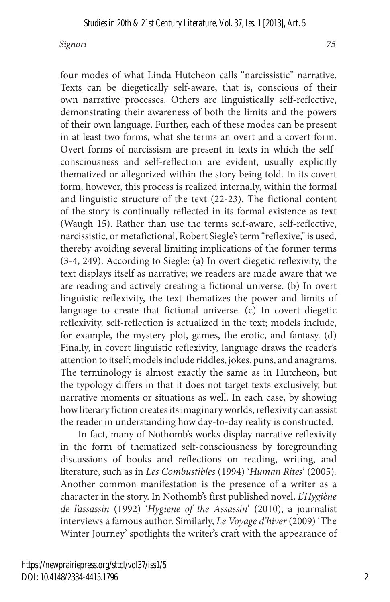four modes of what Linda Hutcheon calls "narcissistic" narrative. Texts can be diegetically self-aware, that is, conscious of their own narrative processes. Others are linguistically self-reflective, demonstrating their awareness of both the limits and the powers of their own language. Further, each of these modes can be present in at least two forms, what she terms an overt and a covert form. Overt forms of narcissism are present in texts in which the selfconsciousness and self-reflection are evident, usually explicitly thematized or allegorized within the story being told. In its covert form, however, this process is realized internally, within the formal and linguistic structure of the text (22-23). The fictional content of the story is continually reflected in its formal existence as text (Waugh 15). Rather than use the terms self-aware, self-reflective, narcissistic, or metafictional, Robert Siegle's term "reflexive," is used, thereby avoiding several limiting implications of the former terms (3-4, 249). According to Siegle: (a) In overt diegetic reflexivity, the text displays itself as narrative; we readers are made aware that we are reading and actively creating a fictional universe. (b) In overt linguistic reflexivity, the text thematizes the power and limits of language to create that fictional universe. (c) In covert diegetic reflexivity, self-reflection is actualized in the text; models include, for example, the mystery plot, games, the erotic, and fantasy. (d) Finally, in covert linguistic reflexivity, language draws the reader's attention to itself; models include riddles, jokes, puns, and anagrams. The terminology is almost exactly the same as in Hutcheon, but the typology differs in that it does not target texts exclusively, but narrative moments or situations as well. In each case, by showing how literary fiction creates its imaginary worlds, reflexivity can assist the reader in understanding how day-to-day reality is constructed.

In fact, many of Nothomb's works display narrative reflexivity in the form of thematized self-consciousness by foregrounding discussions of books and reflections on reading, writing, and literature, such as in *Les Combustibles* (1994) '*Human Rites*' (2005)*.* Another common manifestation is the presence of a writer as a character in the story. In Nothomb's first published novel, *L'Hygiène de l'assassin* (1992) '*Hygiene of the Assassin*' (2010), a journalist interviews a famous author. Similarly, *Le Voyage d'hiver* (2009) 'The Winter Journey' spotlights the writer's craft with the appearance of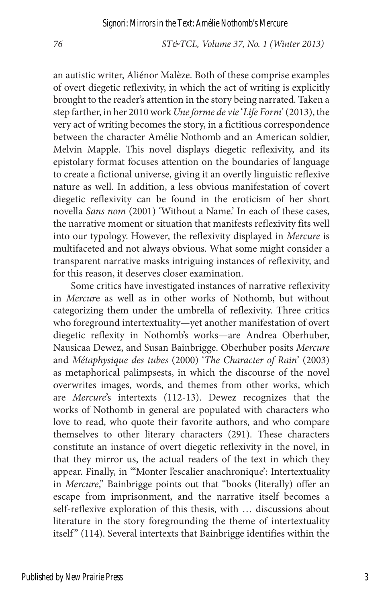an autistic writer, Aliénor Malèze. Both of these comprise examples of overt diegetic reflexivity, in which the act of writing is explicitly brought to the reader's attention in the story being narrated. Taken a step farther, in her 2010 work *Une forme de vie* '*Life Form*' (2013), the very act of writing becomes the story, in a fictitious correspondence between the character Amélie Nothomb and an American soldier, Melvin Mapple. This novel displays diegetic reflexivity, and its epistolary format focuses attention on the boundaries of language to create a fictional universe, giving it an overtly linguistic reflexive nature as well. In addition, a less obvious manifestation of covert diegetic reflexivity can be found in the eroticism of her short novella *Sans nom* (2001) 'Without a Name.' In each of these cases, the narrative moment or situation that manifests reflexivity fits well into our typology. However, the reflexivity displayed in *Mercure* is multifaceted and not always obvious. What some might consider a transparent narrative masks intriguing instances of reflexivity, and for this reason, it deserves closer examination.

Some critics have investigated instances of narrative reflexivity in *Mercur*e as well as in other works of Nothomb, but without categorizing them under the umbrella of reflexivity. Three critics who foreground intertextuality—yet another manifestation of overt diegetic reflexity in Nothomb's works—are Andrea Oberhuber, Nausicaa Dewez, and Susan Bainbrigge. Oberhuber posits *Mercure* and *Métaphysique des tubes* (2000) '*The Character of Rain*' (2003) as metaphorical palimpsests, in which the discourse of the novel overwrites images, words, and themes from other works, which are *Mercure*'s intertexts (112-13). Dewez recognizes that the works of Nothomb in general are populated with characters who love to read, who quote their favorite authors, and who compare themselves to other literary characters (291). These characters constitute an instance of overt diegetic reflexivity in the novel, in that they mirror us, the actual readers of the text in which they appear. Finally, in "'Monter l'escalier anachronique': Intertextuality in *Mercure*," Bainbrigge points out that "books (literally) offer an escape from imprisonment, and the narrative itself becomes a self-reflexive exploration of this thesis, with … discussions about literature in the story foregrounding the theme of intertextuality itself" (114). Several intertexts that Bainbrigge identifies within the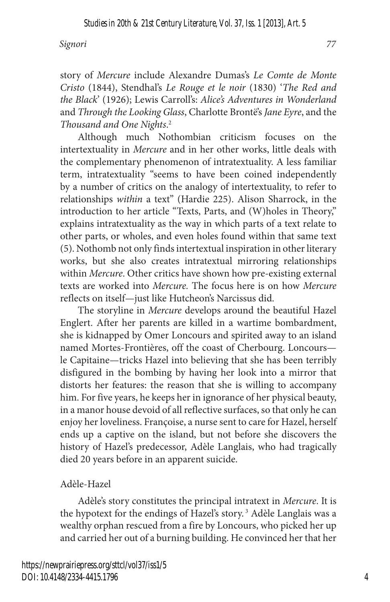story of *Mercure* include Alexandre Dumas's *Le Comte de Monte Cristo* (1844), Stendhal's *Le Rouge et le noir* (1830) '*The Red and the Black*' (1926); Lewis Carroll's: *Alice's Adventures in Wonderland* and *Through the Looking Glass*, Charlotte Brontë's *Jane Eyre*, and the *Thousand and One Nights*. 2

Although much Nothombian criticism focuses on the intertextuality in *Mercure* and in her other works, little deals with the complementary phenomenon of intratextuality. A less familiar term, intratextuality "seems to have been coined independently by a number of critics on the analogy of intertextuality, to refer to relationships *within* a text" (Hardie 225). Alison Sharrock, in the introduction to her article "Texts, Parts, and (W)holes in Theory," explains intratextuality as the way in which parts of a text relate to other parts, or wholes, and even holes found within that same text (5). Nothomb not only finds intertextual inspiration in other literary works, but she also creates intratextual mirroring relationships within *Mercure*. Other critics have shown how pre-existing external texts are worked into *Mercure.* The focus here is on how *Mercure* reflects on itself—just like Hutcheon's Narcissus did.

The storyline in *Mercure* develops around the beautiful Hazel Englert. After her parents are killed in a wartime bombardment, she is kidnapped by Omer Loncours and spirited away to an island named Mortes-Frontières, off the coast of Cherbourg. Loncours le Capitaine—tricks Hazel into believing that she has been terribly disfigured in the bombing by having her look into a mirror that distorts her features: the reason that she is willing to accompany him. For five years, he keeps her in ignorance of her physical beauty, in a manor house devoid of all reflective surfaces, so that only he can enjoy her loveliness. Françoise, a nurse sent to care for Hazel, herself ends up a captive on the island, but not before she discovers the history of Hazel's predecessor, Adèle Langlais, who had tragically died 20 years before in an apparent suicide.

### Adèle-Hazel

Adèle's story constitutes the principal intratext in *Mercure*. It is the hypotext for the endings of Hazel's story. 3 Adèle Langlais was a wealthy orphan rescued from a fire by Loncours, who picked her up and carried her out of a burning building. He convinced her that her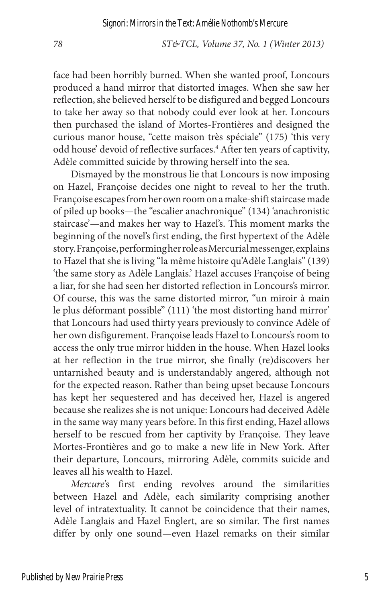face had been horribly burned. When she wanted proof, Loncours produced a hand mirror that distorted images. When she saw her reflection, she believed herself to be disfigured and begged Loncours to take her away so that nobody could ever look at her. Loncours then purchased the island of Mortes-Frontières and designed the curious manor house, "cette maison très spéciale" (175) 'this very odd house' devoid of reflective surfaces.<sup>4</sup> After ten years of captivity, Adèle committed suicide by throwing herself into the sea.

Dismayed by the monstrous lie that Loncours is now imposing on Hazel, Françoise decides one night to reveal to her the truth. Françoise escapes from her own room on a make-shift staircase made of piled up books—the "escalier anachronique" (134) 'anachronistic staircase'—and makes her way to Hazel's. This moment marks the beginning of the novel's first ending, the first hypertext of the Adèle story. Françoise, performing her role as Mercurial messenger, explains to Hazel that she is living "la même histoire qu'Adèle Langlais" (139) 'the same story as Adèle Langlais.' Hazel accuses Françoise of being a liar, for she had seen her distorted reflection in Loncours's mirror. Of course, this was the same distorted mirror, "un miroir à main le plus déformant possible" (111) 'the most distorting hand mirror' that Loncours had used thirty years previously to convince Adèle of her own disfigurement. Françoise leads Hazel to Loncours's room to access the only true mirror hidden in the house. When Hazel looks at her reflection in the true mirror, she finally (re)discovers her untarnished beauty and is understandably angered, although not for the expected reason. Rather than being upset because Loncours has kept her sequestered and has deceived her, Hazel is angered because she realizes she is not unique: Loncours had deceived Adèle in the same way many years before. In this first ending, Hazel allows herself to be rescued from her captivity by Françoise. They leave Mortes-Frontières and go to make a new life in New York. After their departure, Loncours, mirroring Adèle, commits suicide and leaves all his wealth to Hazel.

*Mercure*'s first ending revolves around the similarities between Hazel and Adèle, each similarity comprising another level of intratextuality. It cannot be coincidence that their names, Adèle Langlais and Hazel Englert, are so similar. The first names differ by only one sound—even Hazel remarks on their similar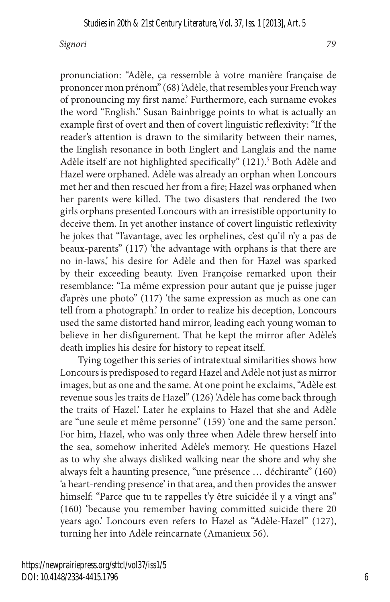pronunciation: "Adèle, ça ressemble à votre manière française de prononcer mon prénom" (68) 'Adèle, that resembles your French way of pronouncing my first name.' Furthermore, each surname evokes the word "English." Susan Bainbrigge points to what is actually an example first of overt and then of covert linguistic reflexivity: "If the reader's attention is drawn to the similarity between their names, the English resonance in both Englert and Langlais and the name Adèle itself are not highlighted specifically" (121).<sup>5</sup> Both Adèle and Hazel were orphaned. Adèle was already an orphan when Loncours met her and then rescued her from a fire; Hazel was orphaned when her parents were killed. The two disasters that rendered the two girls orphans presented Loncours with an irresistible opportunity to deceive them. In yet another instance of covert linguistic reflexivity he jokes that "l'avantage, avec les orphelines, c'est qu'il n'y a pas de beaux-parents" (117) 'the advantage with orphans is that there are no in-laws,' his desire for Adèle and then for Hazel was sparked by their exceeding beauty. Even Françoise remarked upon their resemblance: "La même expression pour autant que je puisse juger d'après une photo" (117) 'the same expression as much as one can tell from a photograph.' In order to realize his deception, Loncours used the same distorted hand mirror, leading each young woman to believe in her disfigurement. That he kept the mirror after Adèle's death implies his desire for history to repeat itself.

Tying together this series of intratextual similarities shows how Loncours is predisposed to regard Hazel and Adèle not just as mirror images, but as one and the same. At one point he exclaims, "Adèle est revenue sous les traits de Hazel" (126) 'Adèle has come back through the traits of Hazel.' Later he explains to Hazel that she and Adèle are "une seule et même personne" (159) 'one and the same person.' For him, Hazel, who was only three when Adèle threw herself into the sea, somehow inherited Adèle's memory. He questions Hazel as to why she always disliked walking near the shore and why she always felt a haunting presence, "une présence … déchirante" (160) 'a heart-rending presence' in that area, and then provides the answer himself: "Parce que tu te rappelles t'y être suicidée il y a vingt ans" (160) 'because you remember having committed suicide there 20 years ago.' Loncours even refers to Hazel as "Adèle-Hazel" (127), turning her into Adèle reincarnate (Amanieux 56).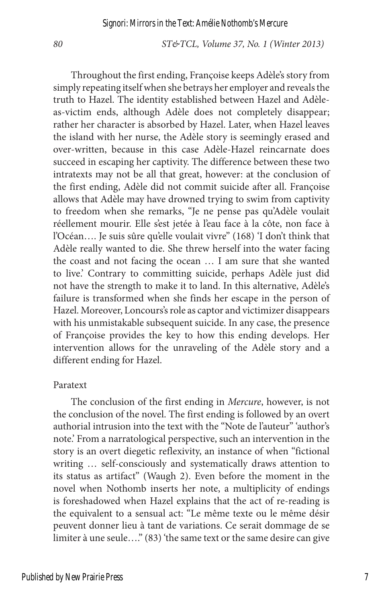Throughout the first ending, Françoise keeps Adèle's story from simply repeating itself when she betrays her employer and reveals the truth to Hazel. The identity established between Hazel and Adèleas-victim ends, although Adèle does not completely disappear; rather her character is absorbed by Hazel. Later, when Hazel leaves the island with her nurse, the Adèle story is seemingly erased and over-written, because in this case Adèle-Hazel reincarnate does succeed in escaping her captivity. The difference between these two intratexts may not be all that great, however: at the conclusion of the first ending, Adèle did not commit suicide after all. Françoise allows that Adèle may have drowned trying to swim from captivity to freedom when she remarks, "Je ne pense pas qu'Adèle voulait réellement mourir. Elle s'est jetée à l'eau face à la côte, non face à l'Océan…. Je suis sûre qu'elle voulait vivre" (168) 'I don't think that Adèle really wanted to die. She threw herself into the water facing the coast and not facing the ocean … I am sure that she wanted to live.' Contrary to committing suicide, perhaps Adèle just did not have the strength to make it to land. In this alternative, Adèle's failure is transformed when she finds her escape in the person of Hazel. Moreover, Loncours's role as captor and victimizer disappears with his unmistakable subsequent suicide. In any case, the presence of Françoise provides the key to how this ending develops. Her intervention allows for the unraveling of the Adèle story and a different ending for Hazel.

#### Paratext

The conclusion of the first ending in *Mercure*, however, is not the conclusion of the novel. The first ending is followed by an overt authorial intrusion into the text with the "Note de l'auteur" 'author's note.' From a narratological perspective, such an intervention in the story is an overt diegetic reflexivity, an instance of when "fictional writing … self-consciously and systematically draws attention to its status as artifact" (Waugh 2). Even before the moment in the novel when Nothomb inserts her note, a multiplicity of endings is foreshadowed when Hazel explains that the act of re-reading is the equivalent to a sensual act: "Le même texte ou le même désir peuvent donner lieu à tant de variations. Ce serait dommage de se limiter à une seule…." (83) 'the same text or the same desire can give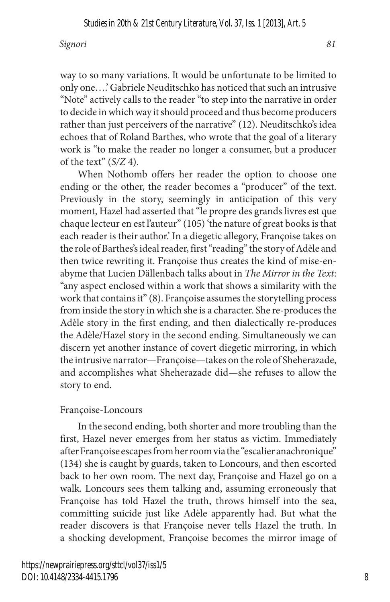way to so many variations. It would be unfortunate to be limited to only one….' Gabriele Neuditschko has noticed that such an intrusive "Note" actively calls to the reader "to step into the narrative in order to decide in which way it should proceed and thus become producers rather than just perceivers of the narrative" (12). Neuditschko's idea echoes that of Roland Barthes, who wrote that the goal of a literary work is "to make the reader no longer a consumer, but a producer of the text" (*S/Z* 4).

When Nothomb offers her reader the option to choose one ending or the other, the reader becomes a "producer" of the text. Previously in the story, seemingly in anticipation of this very moment, Hazel had asserted that "le propre des grands livres est que chaque lecteur en est l'auteur" (105) 'the nature of great books is that each reader is their author.' In a diegetic allegory, Françoise takes on the role of Barthes's ideal reader, first "reading" the story of Adèle and then twice rewriting it. Françoise thus creates the kind of mise-enabyme that Lucien Dällenbach talks about in *The Mirror in the Text*: "any aspect enclosed within a work that shows a similarity with the work that contains it" (8). Françoise assumes the storytelling process from inside the story in which she is a character. She re-produces the Adèle story in the first ending, and then dialectically re-produces the Adèle/Hazel story in the second ending. Simultaneously we can discern yet another instance of covert diegetic mirroring, in which the intrusive narrator—Françoise—takes on the role of Sheherazade, and accomplishes what Sheherazade did—she refuses to allow the story to end.

#### Françoise-Loncours

In the second ending, both shorter and more troubling than the first, Hazel never emerges from her status as victim. Immediately after Françoise escapes from her room via the "escalier anachronique" (134) she is caught by guards, taken to Loncours, and then escorted back to her own room. The next day, Françoise and Hazel go on a walk. Loncours sees them talking and, assuming erroneously that Françoise has told Hazel the truth, throws himself into the sea, committing suicide just like Adèle apparently had. But what the reader discovers is that Françoise never tells Hazel the truth. In a shocking development, Françoise becomes the mirror image of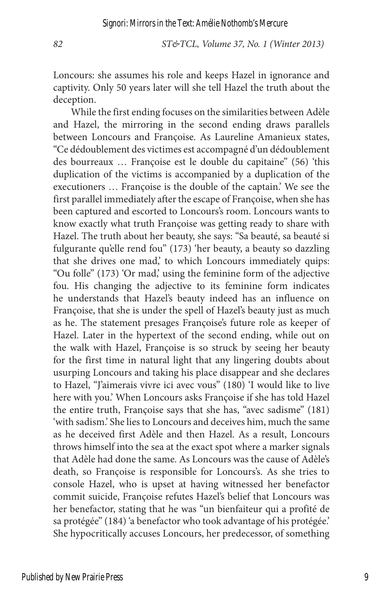Loncours: she assumes his role and keeps Hazel in ignorance and captivity. Only 50 years later will she tell Hazel the truth about the deception.

While the first ending focuses on the similarities between Adèle and Hazel, the mirroring in the second ending draws parallels between Loncours and Françoise. As Laureline Amanieux states, "Ce dédoublement des victimes est accompagné d'un dédoublement des bourreaux … Françoise est le double du capitaine" (56) 'this duplication of the victims is accompanied by a duplication of the executioners … Françoise is the double of the captain.' We see the first parallel immediately after the escape of Françoise, when she has been captured and escorted to Loncours's room. Loncours wants to know exactly what truth Françoise was getting ready to share with Hazel. The truth about her beauty, she says: "Sa beauté, sa beauté si fulgurante qu'elle rend fou" (173) 'her beauty, a beauty so dazzling that she drives one mad,' to which Loncours immediately quips: "Ou folle" (173) 'Or mad,' using the feminine form of the adjective fou. His changing the adjective to its feminine form indicates he understands that Hazel's beauty indeed has an influence on Françoise, that she is under the spell of Hazel's beauty just as much as he. The statement presages Françoise's future role as keeper of Hazel. Later in the hypertext of the second ending, while out on the walk with Hazel, Françoise is so struck by seeing her beauty for the first time in natural light that any lingering doubts about usurping Loncours and taking his place disappear and she declares to Hazel, "J'aimerais vivre ici avec vous" (180) 'I would like to live here with you.' When Loncours asks Françoise if she has told Hazel the entire truth, Françoise says that she has, "avec sadisme" (181) 'with sadism.' She lies to Loncours and deceives him, much the same as he deceived first Adèle and then Hazel. As a result, Loncours throws himself into the sea at the exact spot where a marker signals that Adèle had done the same. As Loncours was the cause of Adèle's death, so Françoise is responsible for Loncours's. As she tries to console Hazel, who is upset at having witnessed her benefactor commit suicide, Françoise refutes Hazel's belief that Loncours was her benefactor, stating that he was "un bienfaiteur qui a profité de sa protégée" (184) 'a benefactor who took advantage of his protégée.' She hypocritically accuses Loncours, her predecessor, of something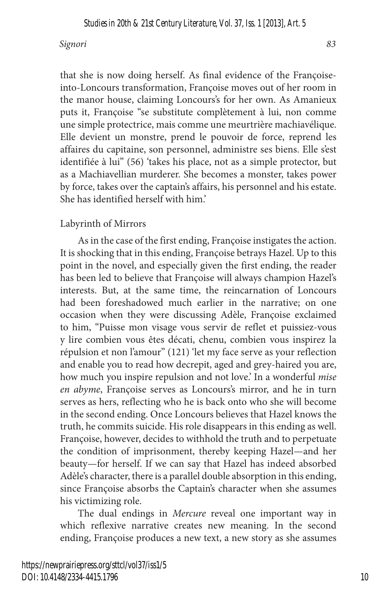that she is now doing herself. As final evidence of the Françoiseinto-Loncours transformation, Françoise moves out of her room in the manor house, claiming Loncours's for her own. As Amanieux puts it, Françoise "se substitute complètement à lui, non comme une simple protectrice, mais comme une meurtrière machiavélique. Elle devient un monstre, prend le pouvoir de force, reprend les affaires du capitaine, son personnel, administre ses biens. Elle s'est identifiée à lui" (56) 'takes his place, not as a simple protector, but as a Machiavellian murderer. She becomes a monster, takes power by force, takes over the captain's affairs, his personnel and his estate. She has identified herself with him.'

#### Labyrinth of Mirrors

As in the case of the first ending, Françoise instigates the action. It is shocking that in this ending, Françoise betrays Hazel. Up to this point in the novel, and especially given the first ending, the reader has been led to believe that Françoise will always champion Hazel's interests. But, at the same time, the reincarnation of Loncours had been foreshadowed much earlier in the narrative; on one occasion when they were discussing Adèle, Françoise exclaimed to him, "Puisse mon visage vous servir de reflet et puissiez-vous y lire combien vous êtes décati, chenu, combien vous inspirez la répulsion et non l'amour" (121) 'let my face serve as your reflection and enable you to read how decrepit, aged and grey-haired you are, how much you inspire repulsion and not love.' In a wonderful *mise en abyme*, Françoise serves as Loncours's mirror, and he in turn serves as hers, reflecting who he is back onto who she will become in the second ending. Once Loncours believes that Hazel knows the truth, he commits suicide. His role disappears in this ending as well. Françoise, however, decides to withhold the truth and to perpetuate the condition of imprisonment, thereby keeping Hazel—and her beauty—for herself. If we can say that Hazel has indeed absorbed Adèle's character, there is a parallel double absorption in this ending, since Françoise absorbs the Captain's character when she assumes his victimizing role.

The dual endings in *Mercure* reveal one important way in which reflexive narrative creates new meaning. In the second ending, Françoise produces a new text, a new story as she assumes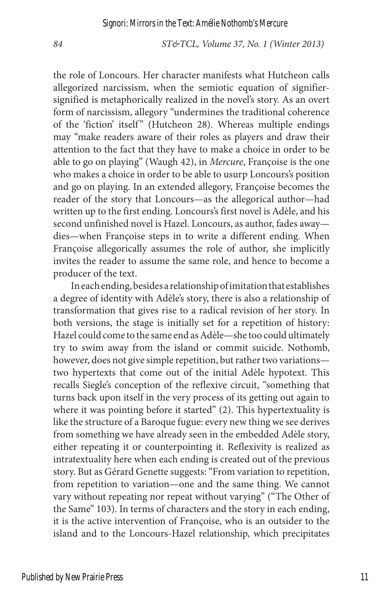the role of Loncours. Her character manifests what Hutcheon calls allegorized narcissism, when the semiotic equation of signifiersignified is metaphorically realized in the novel's story. As an overt form of narcissism, allegory "undermines the traditional coherence of the 'fiction' itself" (Hutcheon 28). Whereas multiple endings may "make readers aware of their roles as players and draw their attention to the fact that they have to make a choice in order to be able to go on playing" (Waugh 42), in *Mercure*, Françoise is the one who makes a choice in order to be able to usurp Loncours's position and go on playing. In an extended allegory, Françoise becomes the reader of the story that Loncours—as the allegorical author—had written up to the first ending. Loncours's first novel is Adèle, and his second unfinished novel is Hazel. Loncours, as author, fades away dies—when Françoise steps in to write a different ending. When Françoise allegorically assumes the role of author, she implicitly invites the reader to assume the same role, and hence to become a producer of the text.

In each ending, besides a relationship of imitation that establishes a degree of identity with Adèle's story, there is also a relationship of transformation that gives rise to a radical revision of her story. In both versions, the stage is initially set for a repetition of history: Hazel could come to the same end as Adèle—she too could ultimately try to swim away from the island or commit suicide. Nothomb, however, does not give simple repetition, but rather two variations two hypertexts that come out of the initial Adèle hypotext. This recalls Siegle's conception of the reflexive circuit, "something that turns back upon itself in the very process of its getting out again to where it was pointing before it started" (2). This hypertextuality is like the structure of a Baroque fugue: every new thing we see derives from something we have already seen in the embedded Adèle story, either repeating it or counterpointing it. Reflexivity is realized as intratextuality here when each ending is created out of the previous story. But as Gérard Genette suggests: "From variation to repetition, from repetition to variation—one and the same thing. We cannot vary without repeating nor repeat without varying" ("The Other of the Same" 103). In terms of characters and the story in each ending, it is the active intervention of Françoise, who is an outsider to the island and to the Loncours-Hazel relationship, which precipitates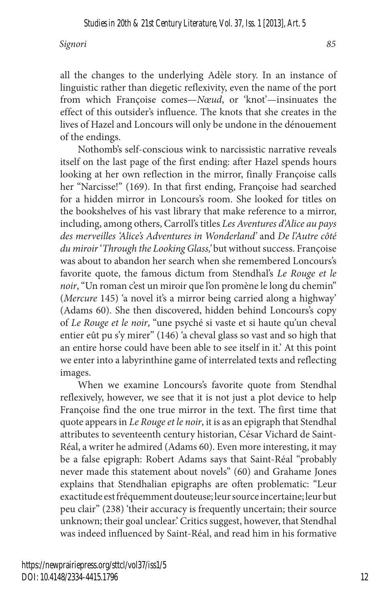all the changes to the underlying Adèle story. In an instance of linguistic rather than diegetic reflexivity, even the name of the port from which Françoise comes—*Nœud*, or 'knot'—insinuates the effect of this outsider's influence. The knots that she creates in the lives of Hazel and Loncours will only be undone in the dénouement of the endings.

Nothomb's self-conscious wink to narcissistic narrative reveals itself on the last page of the first ending: after Hazel spends hours looking at her own reflection in the mirror, finally Françoise calls her "Narcisse!" (169). In that first ending, Françoise had searched for a hidden mirror in Loncours's room. She looked for titles on the bookshelves of his vast library that make reference to a mirror, including, among others, Carroll's titles *Les Aventures d'Alice au pays des merveilles 'Alice's Adventures in Wonderland'* and *De l'Autre côté du miroir* '*Through the Looking Glass,'* but without success. Françoise was about to abandon her search when she remembered Loncours's favorite quote, the famous dictum from Stendhal's *Le Rouge et le noir*, "Un roman c'est un miroir que l'on promène le long du chemin" (*Mercure* 145) 'a novel it's a mirror being carried along a highway' (Adams 60). She then discovered, hidden behind Loncours's copy of *Le Rouge et le noir*, "une psyché si vaste et si haute qu'un cheval entier eût pu s'y mirer" (146) 'a cheval glass so vast and so high that an entire horse could have been able to see itself in it.' At this point we enter into a labyrinthine game of interrelated texts and reflecting images.

When we examine Loncours's favorite quote from Stendhal reflexively, however, we see that it is not just a plot device to help Françoise find the one true mirror in the text. The first time that quote appears in *Le Rouge et le noir*, it is as an epigraph that Stendhal attributes to seventeenth century historian, César Vichard de Saint-Réal, a writer he admired (Adams 60). Even more interesting, it may be a false epigraph: Robert Adams says that Saint-Réal "probably never made this statement about novels" (60) and Grahame Jones explains that Stendhalian epigraphs are often problematic: "Leur exactitude est fréquemment douteuse; leur source incertaine; leur but peu clair" (238) 'their accuracy is frequently uncertain; their source unknown; their goal unclear.' Critics suggest, however, that Stendhal was indeed influenced by Saint-Réal, and read him in his formative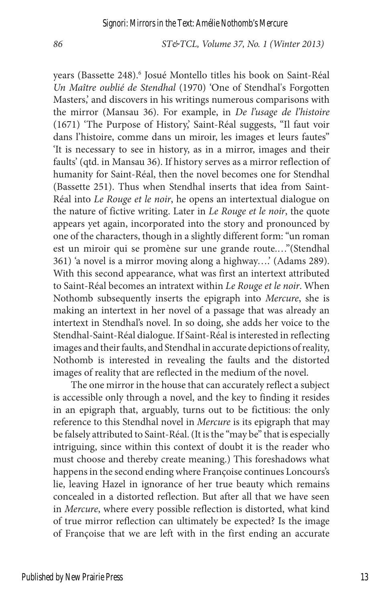years (Bassette 248).<sup>6</sup> Josué Montello titles his book on Saint-Réal *Un Maître oublié de Stendhal* (1970) 'One of Stendhal's Forgotten Masters,' and discovers in his writings numerous comparisons with the mirror (Mansau 36). For example, in *De l'usage de l'histoire*  (1671) 'The Purpose of History,' Saint-Réal suggests, "Il faut voir dans l'histoire, comme dans un miroir, les images et leurs fautes" 'It is necessary to see in history, as in a mirror, images and their faults' (qtd. in Mansau 36). If history serves as a mirror reflection of humanity for Saint-Réal, then the novel becomes one for Stendhal (Bassette 251). Thus when Stendhal inserts that idea from Saint-Réal into *Le Rouge et le noir*, he opens an intertextual dialogue on the nature of fictive writing. Later in *Le Rouge et le noir*, the quote appears yet again, incorporated into the story and pronounced by one of the characters, though in a slightly different form: "un roman est un miroir qui se promène sur une grande route.…"(Stendhal 361) 'a novel is a mirror moving along a highway….' (Adams 289). With this second appearance, what was first an intertext attributed to Saint-Réal becomes an intratext within *Le Rouge et le noir*. When Nothomb subsequently inserts the epigraph into *Mercure*, she is making an intertext in her novel of a passage that was already an intertext in Stendhal's novel. In so doing, she adds her voice to the Stendhal-Saint-Réal dialogue. If Saint-Réal is interested in reflecting images and their faults, and Stendhal in accurate depictions of reality, Nothomb is interested in revealing the faults and the distorted images of reality that are reflected in the medium of the novel.

The one mirror in the house that can accurately reflect a subject is accessible only through a novel, and the key to finding it resides in an epigraph that, arguably, turns out to be fictitious: the only reference to this Stendhal novel in *Mercure* is its epigraph that may be falsely attributed to Saint-Réal. (It is the "may be" that is especially intriguing, since within this context of doubt it is the reader who must choose and thereby create meaning.) This foreshadows what happens in the second ending where Françoise continues Loncours's lie, leaving Hazel in ignorance of her true beauty which remains concealed in a distorted reflection. But after all that we have seen in *Mercure*, where every possible reflection is distorted, what kind of true mirror reflection can ultimately be expected? Is the image of Françoise that we are left with in the first ending an accurate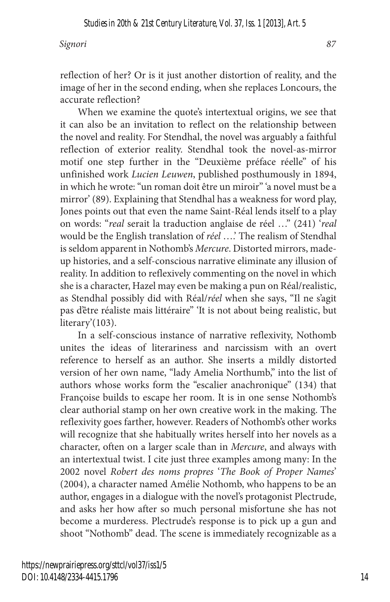reflection of her? Or is it just another distortion of reality, and the image of her in the second ending, when she replaces Loncours, the accurate reflection?

When we examine the quote's intertextual origins, we see that it can also be an invitation to reflect on the relationship between the novel and reality. For Stendhal, the novel was arguably a faithful reflection of exterior reality. Stendhal took the novel-as-mirror motif one step further in the "Deuxième préface réelle" of his unfinished work *Lucien Leuwen*, published posthumously in 1894, in which he wrote: "un roman doit être un miroir" 'a novel must be a mirror' (89). Explaining that Stendhal has a weakness for word play, Jones points out that even the name Saint-Réal lends itself to a play on words: "*real* serait la traduction anglaise de réel …" (241) '*real* would be the English translation of *réel* ….' The realism of Stendhal is seldom apparent in Nothomb's *Mercure*. Distorted mirrors, madeup histories, and a self-conscious narrative eliminate any illusion of reality. In addition to reflexively commenting on the novel in which she is a character, Hazel may even be making a pun on Réal/realistic, as Stendhal possibly did with Réal/*réel* when she says, "Il ne s'agit pas d'être réaliste mais littéraire" 'It is not about being realistic, but literary'(103).

In a self-conscious instance of narrative reflexivity, Nothomb unites the ideas of literariness and narcissism with an overt reference to herself as an author. She inserts a mildly distorted version of her own name, "lady Amelia Northumb," into the list of authors whose works form the "escalier anachronique" (134) that Françoise builds to escape her room. It is in one sense Nothomb's clear authorial stamp on her own creative work in the making. The reflexivity goes farther, however. Readers of Nothomb's other works will recognize that she habitually writes herself into her novels as a character, often on a larger scale than in *Mercure*, and always with an intertextual twist. I cite just three examples among many: In the 2002 novel *Robert des noms propres* '*The Book of Proper Names*' (2004), a character named Amélie Nothomb, who happens to be an author, engages in a dialogue with the novel's protagonist Plectrude, and asks her how after so much personal misfortune she has not become a murderess. Plectrude's response is to pick up a gun and shoot "Nothomb" dead. The scene is immediately recognizable as a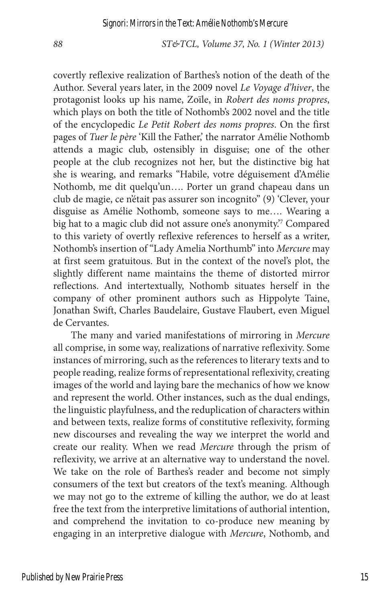covertly reflexive realization of Barthes's notion of the death of the Author. Several years later, in the 2009 novel *Le Voyage d'hiver*, the protagonist looks up his name, Zoïle, in *Robert des noms propres*, which plays on both the title of Nothomb's 2002 novel and the title of the encyclopedic *Le Petit Robert des noms propres*. On the first pages of *Tuer le père* 'Kill the Father,' the narrator Amélie Nothomb attends a magic club, ostensibly in disguise; one of the other people at the club recognizes not her, but the distinctive big hat she is wearing, and remarks "Habile, votre déguisement d'Amélie Nothomb, me dit quelqu'un…. Porter un grand chapeau dans un club de magie, ce n'était pas assurer son incognito" (9) 'Clever, your disguise as Amélie Nothomb, someone says to me…. Wearing a big hat to a magic club did not assure one's anonymity.'7 Compared to this variety of overtly reflexive references to herself as a writer, Nothomb's insertion of "Lady Amelia Northumb" into *Mercure* may at first seem gratuitous. But in the context of the novel's plot, the slightly different name maintains the theme of distorted mirror reflections. And intertextually, Nothomb situates herself in the company of other prominent authors such as Hippolyte Taine, Jonathan Swift, Charles Baudelaire, Gustave Flaubert, even Miguel de Cervantes.

The many and varied manifestations of mirroring in *Mercure* all comprise, in some way, realizations of narrative reflexivity. Some instances of mirroring, such as the references to literary texts and to people reading, realize forms of representational reflexivity, creating images of the world and laying bare the mechanics of how we know and represent the world. Other instances, such as the dual endings, the linguistic playfulness, and the reduplication of characters within and between texts, realize forms of constitutive reflexivity, forming new discourses and revealing the way we interpret the world and create our reality. When we read *Mercure* through the prism of reflexivity, we arrive at an alternative way to understand the novel. We take on the role of Barthes's reader and become not simply consumers of the text but creators of the text's meaning. Although we may not go to the extreme of killing the author, we do at least free the text from the interpretive limitations of authorial intention, and comprehend the invitation to co-produce new meaning by engaging in an interpretive dialogue with *Mercure*, Nothomb, and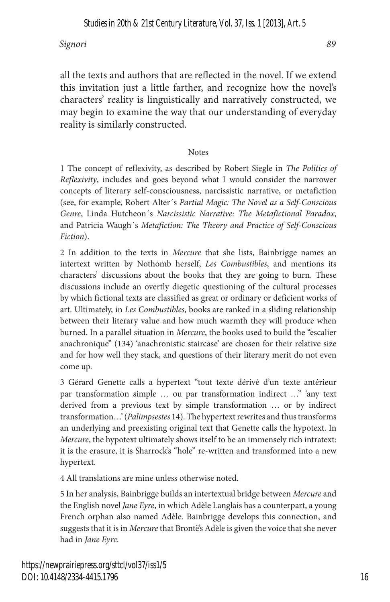all the texts and authors that are reflected in the novel. If we extend this invitation just a little farther, and recognize how the novel's characters' reality is linguistically and narratively constructed, we may begin to examine the way that our understanding of everyday reality is similarly constructed.

#### Notes

1 The concept of reflexivity, as described by Robert Siegle in *The Politics of Reflexivity*, includes and goes beyond what I would consider the narrower concepts of literary self-consciousness, narcissistic narrative, or metafiction (see, for example, Robert Alter´s *Partial Magic: The Novel as a Self-Conscious Genre*, Linda Hutcheon´s *Narcissistic Narrative: The Metafictional Paradox*, and Patricia Waugh´s *Metafiction: The Theory and Practice of Self-Conscious Fiction*).

2 In addition to the texts in *Mercure* that she lists, Bainbrigge names an intertext written by Nothomb herself, *Les Combustibles*, and mentions its characters' discussions about the books that they are going to burn. These discussions include an overtly diegetic questioning of the cultural processes by which fictional texts are classified as great or ordinary or deficient works of art. Ultimately, in *Les Combustibles*, books are ranked in a sliding relationship between their literary value and how much warmth they will produce when burned. In a parallel situation in *Mercure*, the books used to build the "escalier anachronique" (134) 'anachronistic staircase' are chosen for their relative size and for how well they stack, and questions of their literary merit do not even come up.

3 Gérard Genette calls a hypertext "tout texte dérivé d'un texte antérieur par transformation simple … ou par transformation indirect …" 'any text derived from a previous text by simple transformation … or by indirect transformation…' (*Palimpsestes* 14). The hypertext rewrites and thus transforms an underlying and preexisting original text that Genette calls the hypotext. In *Mercure*, the hypotext ultimately shows itself to be an immensely rich intratext: it is the erasure, it is Sharrock's "hole" re-written and transformed into a new hypertext.

4 All translations are mine unless otherwise noted.

5 In her analysis, Bainbrigge builds an intertextual bridge between *Mercure* and the English novel *Jane Eyre*, in which Adèle Langlais has a counterpart, a young French orphan also named Adèle. Bainbrigge develops this connection, and suggests that it is in *Mercure* that Brontë's Adèle is given the voice that she never had in *Jane Eyre*.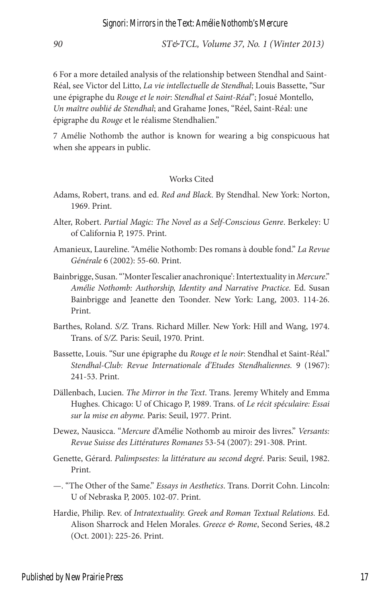6 For a more detailed analysis of the relationship between Stendhal and Saint-Réal, see Victor del Litto, *La vie intellectuelle de Stendhal*; Louis Bassette, "Sur une épigraphe du *Rouge et le noir*: *Stendhal et Saint-Réal*"; Josué Montello, *Un maître oublié de Stendhal*; and Grahame Jones, "Réel, Saint-Réal: une épigraphe du *Rouge* et le réalisme Stendhalien."

7 Amélie Nothomb the author is known for wearing a big conspicuous hat when she appears in public.

#### Works Cited

- Adams, Robert, trans. and ed. *Red and Black*. By Stendhal. New York: Norton, 1969. Print.
- Alter, Robert. *Partial Magic: The Novel as a Self-Conscious Genre*. Berkeley: U of California P, 1975. Print.
- Amanieux, Laureline. "Amélie Nothomb: Des romans à double fond." *La Revue Générale* 6 (2002): 55-60. Print.
- Bainbrigge, Susan. "'Monter l'escalier anachronique': Intertextuality in *Mercure*." *Amélie Nothomb: Authorship, Identity and Narrative Practice.* Ed. Susan Bainbrigge and Jeanette den Toonder. New York: Lang, 2003. 114-26. Print.
- Barthes, Roland. *S/Z.* Trans. Richard Miller. New York: Hill and Wang, 1974. Trans. of *S/Z.* Paris: Seuil, 1970. Print.
- Bassette, Louis. "Sur une épigraphe du *Rouge et le noir*: Stendhal et Saint-Réal." *Stendhal-Club: Revue Internationale d'Etudes Stendhaliennes.* 9 (1967): 241-53. Print.
- Dällenbach, Lucien. *The Mirror in the Text*. Trans. Jeremy Whitely and Emma Hughes. Chicago: U of Chicago P, 1989. Trans. of *Le récit spéculaire: Essai sur la mise en abyme.* Paris: Seuil, 1977. Print.
- Dewez, Nausicca. "*Mercure* d'Amélie Nothomb au miroir des livres." *Versants: Revue Suisse des Littératures Romanes* 53-54 (2007): 291-308. Print.
- Genette, Gérard. *Palimpsestes: la littérature au second degré*. Paris: Seuil, 1982. Print.
- —. "The Other of the Same." *Essays in Aesthetics*. Trans. Dorrit Cohn. Lincoln: U of Nebraska P, 2005. 102-07. Print.
- Hardie, Philip. Rev. of *Intratextuality. Greek and Roman Textual Relations.* Ed. Alison Sharrock and Helen Morales. *Greece & Rome*, Second Series, 48.2 (Oct. 2001): 225-26. Print.